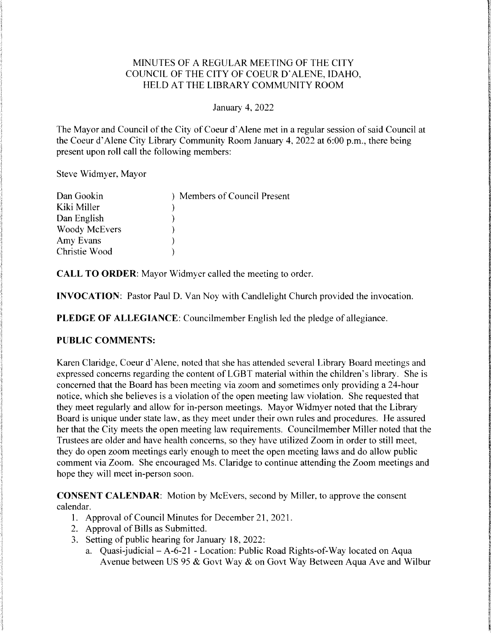### MINUTES OF A REGULAR MEETING OF THE CITY COUNCIL OF THE CITY OF COEUR D'ALENE, IDAHO, HELD AT THE LIBRARY COMMUNITY ROOM

#### January 4, 2022

The Mayor and Council of the City of Coeur d'Alene met in a regular session of said Council at the Coeur d'Alene City Library Community Room January 4, 2022 at 6:00 p.m., there being present upon roll call the following members:

Steve Widmyer, Mayor

| Dan Gookin           | ) Members of Council Present |
|----------------------|------------------------------|
| Kiki Miller          |                              |
| Dan English          |                              |
| <b>Woody McEvers</b> |                              |
| Amy Evans            |                              |
| Christie Wood        |                              |

CALL TO ORDER: Mayor Widmyer called the meeting to order.

**INVOCATION:** Pastor Paul D. Van Noy with Candlelight Church provided the invocation.

PLEDGE OF ALLEGIANCE: Councilmember English led the pledge of allegiance.

### PUBLIC COMMENTS:

Karen Claridge, Coeur d'Alene, noted that she has attended several Library Board meetings and expressed concerns regarding the content of LGBT material within the children's library. She is concerned that the Board has been meeting via zoom and sometimes only providing a 24-hour notice, which she believes is a violation of the open meeting law violation. She requested that they meet regularly and allow for in-person meetings. Mayor Widmyer noted that the Library Board is unique under state law, as they meet under their own rules and procedures. He assured her that the City meets the open meeting law requirements. Councilmember Miller noted that the Trustees are older and have health concerns, so they have utilized Zoom in order to still meet, they do open zoom meetings early enough to meet the open meeting laws and do allow public comment via Zoom. She encouraged Ms. Claridge to continue attending the Zoom meetings and hope they will meet in-person soon.

**CONSENT CALENDAR:** Motion by McEvers, second by Miller, to approve the consent calendar.

- 1. Approval of Council Minutes for December 21, 2021.
- 2. Approval of Bills as Submitted.
- 3. Setting of public hearing for January 18, 2022:
	- a. Quasi-judicial  $-A-6-21$  Location: Public Road Rights-of-Way located on Aqua Avenue between US 95  $&$  Govt Way  $&$  on Govt Way Between Aqua Ave and Wilbur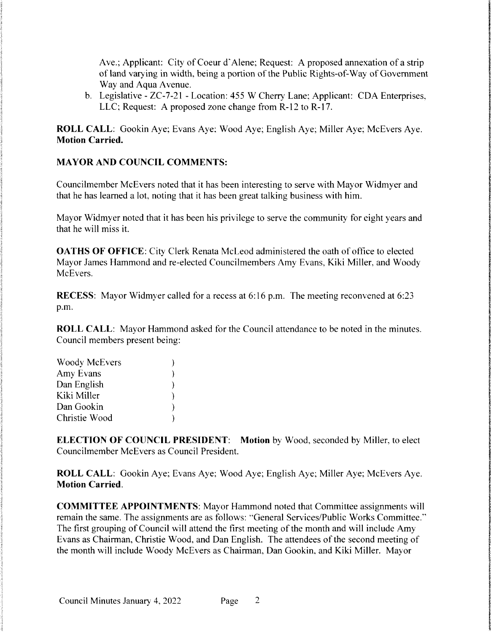Ave.; Applicant: City of Coeur d'Alene; Request: A proposed annexation of a strip of land varying in width, being a portion of the Public Rights-of-Way of Government Way and Aqua Avenue.

b. Legislative - ZC-7-21 - Location: 455 W Cherry Lane; Applicant: CDA Enterprises,  $-LC-7-21 =$ LLC; Request: A proposed zone change from R-12 to R-17.

ROLL CALL: Gookin Aye; Evans Aye; Wood Aye; English Aye; Miller Aye; McEvers Aye. Motion Carried.

## MAYOR AND COUNCIL COMMENTS:

internation 5si

> Councilmember McEvers noted that it has been interesting to serve with Mayor Widmyer and that he has learned a lot, noting that it has been great talking business with him.

Mayor Widmyer noted that it has been his privilege to serve the community for eight years and that he will miss it.

**OATHS OF OFFICE:** City Clerk Renata McLeod administered the oath of office to elected Mayor James Hammond and re-elected Councilmembers Amy Evans, Kiki Miller, and Woody McEvers.

RECESS: Mayor Widmyer called for a recess at 6:16 p.m. The meeting reconvened at 6:23 p.m.

ROLL CALL: Mayor Hammond asked for the Council attendance to be noted in the minutes. Council members present being:

| <b>Woody McEvers</b> |  |
|----------------------|--|
| Amy Evans            |  |
| Dan English          |  |
| Kiki Miller          |  |
| Dan Gookin           |  |
| Christie Wood        |  |

ELECTION OF COUNCIL PRESIDENT: Motion by Wood, seconded by Miller, to elect Councilmember McEvers as Council President.

ROLL CALL: Gookin Aye; Evans Aye; Wood Aye; English Aye; Miller Aye; McEvers Aye. Motion Carried.

COMMITTEE APPOINTMENTS: Mayor Hammond noted that Committee assignments will remain the same. The assignments are as follows: "General Services/Public Works Committee." The first grouping of Council will attend the first meeting of the month and will include Amy Evans as Chairman, Christie Wood, and Dan English. The attendees of the second meeting of the month will include Woody McEvers as Chairman, Dan Gookin, and Kiki Miller. Mayor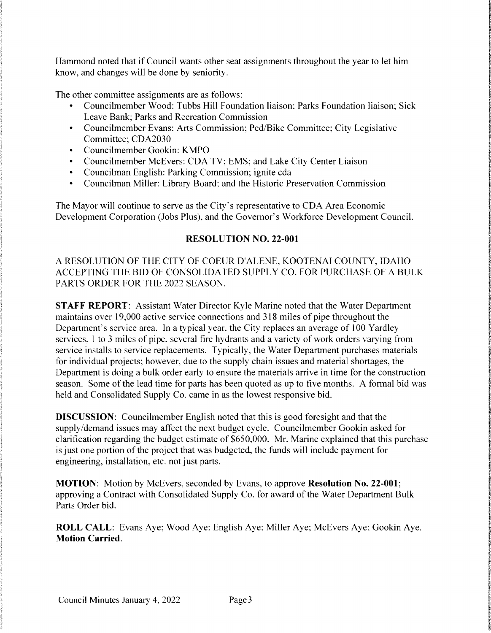Hammond noted that if Council wants other seat assignments throughout the year to let him know, and changes will be done by seniority.

The other committee assignments are as follows:

- Councilmember Wood: Tubbs Hill Foundation liaison; Parks Foundation liaison; Sick Leave Bank: Parks and Recreation Commission
- Councilmember Evans: Arts Commission; Ped/Bike Committee; City Legislative Committee: CDA2030
- Councilmember Gookin: KMPO
- Councilmember McEvers: CDA TV; EMS; and Lake City Center Liaison
- Councilman English: Parking Commission; ignite cda
- Councilman Miller: Library Board; and the Historic Preservation Commission  $\bullet$

The Mayor will continue to serve as the City's representative to CDA Area Economic Development Corporation (Jobs Plus), and the Governor's Workforce Development Council.

### **RESOLUTION NO. 22-001**

A RESOLUTION OF THE CITY OF COEUR D'ALENE, KOOTENAI COUNTY, IDAHO ACCEPTING THE BID OF CONSOLIDATED SUPPLY CO. FOR PURCHASE OF A BULK PARTS ORDER FOR THE 2022 SEASON.

**STAFF REPORT:** Assistant Water Director Kyle Marine noted that the Water Department maintains over 19,000 active service connections and 318 miles of pipe throughout the Department's service area. In a typical year, the City replaces an average of 100 Yardley services, 1 to 3 miles of pipe, several fire hydrants and a variety of work orders varying from service installs to service replacements. Typically, the Water Department purchases materials for individual projects; however, due to the supply chain issues and material shortages, the Department is doing a bulk order early to ensure the materials arrive in time for the construction season. Some of the lead time for parts has been quoted as up to five months. A formal bid was held and Consolidated Supply Co. came in as the lowest responsive bid.

**DISCUSSION:** Councilmember English noted that this is good foresight and that the supply/demand issues may affect the next budget cycle. Councilmember Gookin asked for clarification regarding the budget estimate of \$650,000. Mr. Marine explained that this purchase is just one portion of the project that was budgeted, the funds will include payment for engineering, installation, etc. not just parts.

**MOTION:** Motion by McEvers, seconded by Evans, to approve **Resolution No. 22-001**; approving a Contract with Consolidated Supply Co. for award of the Water Department Bulk Parts Order bid.

ROLL CALL: Evans Aye; Wood Aye; English Aye; Miller Aye; McEvers Aye; Gookin Aye. **Motion Carried.**